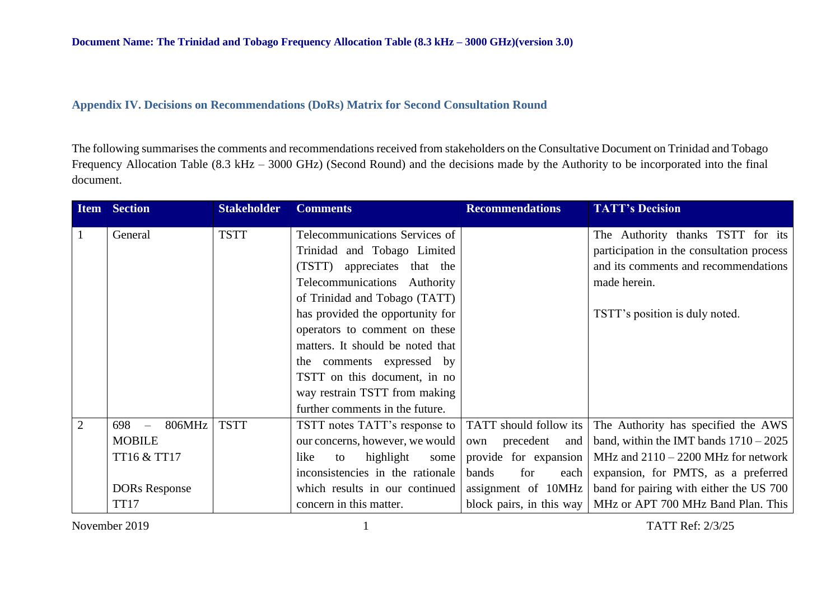## **Appendix IV. Decisions on Recommendations (DoRs) Matrix for Second Consultation Round**

The following summarises the comments and recommendations received from stakeholders on the Consultative Document on Trinidad and Tobago Frequency Allocation Table (8.3 kHz – 3000 GHz) (Second Round) and the decisions made by the Authority to be incorporated into the final document.

|                | <b>Item Section</b>  | <b>Stakeholder</b> | <b>Comments</b>                  | <b>Recommendations</b>    | <b>TATT's Decision</b>                                        |
|----------------|----------------------|--------------------|----------------------------------|---------------------------|---------------------------------------------------------------|
|                | General              | <b>TSTT</b>        | Telecommunications Services of   |                           | The Authority thanks TSTT for its                             |
|                |                      |                    | Trinidad and Tobago Limited      |                           | participation in the consultation process                     |
|                |                      |                    | (TSTT) appreciates that the      |                           | and its comments and recommendations                          |
|                |                      |                    | Telecommunications Authority     |                           | made herein.                                                  |
|                |                      |                    | of Trinidad and Tobago (TATT)    |                           |                                                               |
|                |                      |                    | has provided the opportunity for |                           | TSTT's position is duly noted.                                |
|                |                      |                    | operators to comment on these    |                           |                                                               |
|                |                      |                    | matters. It should be noted that |                           |                                                               |
|                |                      |                    | the comments expressed by        |                           |                                                               |
|                |                      |                    | TSTT on this document, in no     |                           |                                                               |
|                |                      |                    | way restrain TSTT from making    |                           |                                                               |
|                |                      |                    | further comments in the future.  |                           |                                                               |
| $\overline{2}$ | 806MHz<br>$698 -$    | <b>TSTT</b>        | TSTT notes TATT's response to    | TATT should follow its    | The Authority has specified the AWS                           |
|                | <b>MOBILE</b>        |                    | our concerns, however, we would  | precedent<br>and  <br>own | band, within the IMT bands $1710 - 2025$                      |
|                | TT16 & TT17          |                    | highlight<br>like<br>some<br>to  | provide for expansion     | MHz and $2110 - 2200$ MHz for network                         |
|                |                      |                    | inconsistencies in the rationale | for<br>bands<br>each      | expansion, for PMTS, as a preferred                           |
|                | <b>DORs Response</b> |                    | which results in our continued   | assignment of 10MHz       | band for pairing with either the US 700                       |
|                | <b>TT17</b>          |                    | concern in this matter.          |                           | block pairs, in this way   MHz or APT 700 MHz Band Plan. This |

November 2019 1 TATT Ref: 2/3/25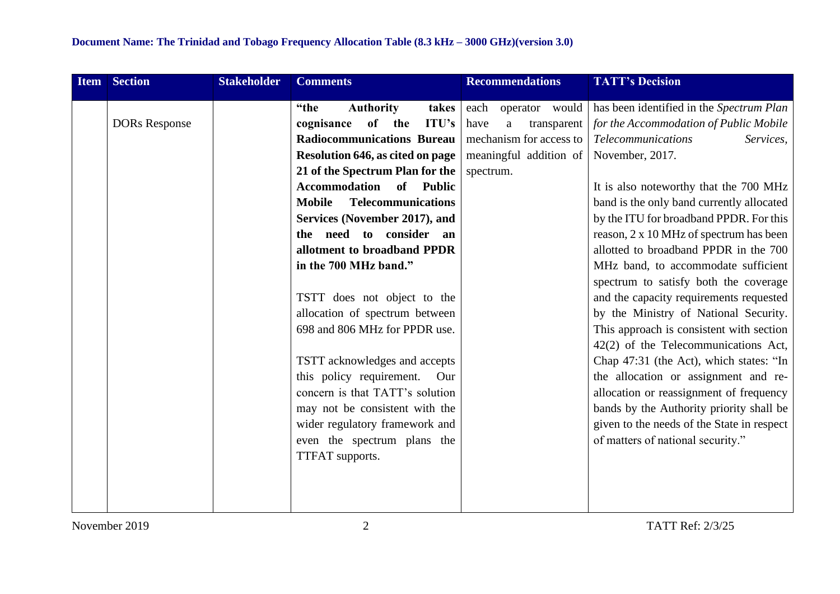| <b>Item</b> | <b>Section</b>       | <b>Stakeholder</b> | <b>Comments</b>                            | <b>Recommendations</b>          | <b>TATT's Decision</b>                                                           |
|-------------|----------------------|--------------------|--------------------------------------------|---------------------------------|----------------------------------------------------------------------------------|
|             |                      |                    | "the<br><b>Authority</b><br>takes          | each<br>operator would          | has been identified in the Spectrum Plan                                         |
|             | <b>DORs Response</b> |                    | <b>ITU's</b><br>of<br>the<br>cognisance    | have<br>$\rm{a}$<br>transparent | for the Accommodation of Public Mobile                                           |
|             |                      |                    | <b>Radiocommunications Bureau</b>          | mechanism for access to         | <b>Telecommunications</b><br>Services,                                           |
|             |                      |                    | <b>Resolution 646, as cited on page</b>    | meaningful addition of          | November, 2017.                                                                  |
|             |                      |                    | 21 of the Spectrum Plan for the            | spectrum.                       |                                                                                  |
|             |                      |                    | Accommodation of Public                    |                                 | It is also noteworthy that the 700 MHz                                           |
|             |                      |                    | <b>Telecommunications</b><br><b>Mobile</b> |                                 | band is the only band currently allocated                                        |
|             |                      |                    | Services (November 2017), and              |                                 | by the ITU for broadband PPDR. For this                                          |
|             |                      |                    | the need to consider an                    |                                 | reason, 2 x 10 MHz of spectrum has been                                          |
|             |                      |                    | allotment to broadband PPDR                |                                 | allotted to broadband PPDR in the 700                                            |
|             |                      |                    | in the 700 MHz band."                      |                                 | MHz band, to accommodate sufficient                                              |
|             |                      |                    |                                            |                                 | spectrum to satisfy both the coverage                                            |
|             |                      |                    | TSTT does not object to the                |                                 | and the capacity requirements requested                                          |
|             |                      |                    | allocation of spectrum between             |                                 | by the Ministry of National Security.                                            |
|             |                      |                    | 698 and 806 MHz for PPDR use.              |                                 | This approach is consistent with section<br>42(2) of the Telecommunications Act, |
|             |                      |                    | TSTT acknowledges and accepts              |                                 | Chap 47:31 (the Act), which states: "In                                          |
|             |                      |                    | this policy requirement.<br>Our            |                                 | the allocation or assignment and re-                                             |
|             |                      |                    | concern is that TATT's solution            |                                 | allocation or reassignment of frequency                                          |
|             |                      |                    | may not be consistent with the             |                                 | bands by the Authority priority shall be                                         |
|             |                      |                    | wider regulatory framework and             |                                 | given to the needs of the State in respect                                       |
|             |                      |                    | even the spectrum plans the                |                                 | of matters of national security."                                                |
|             |                      |                    | TTFAT supports.                            |                                 |                                                                                  |
|             |                      |                    |                                            |                                 |                                                                                  |
|             |                      |                    |                                            |                                 |                                                                                  |
|             |                      |                    |                                            |                                 |                                                                                  |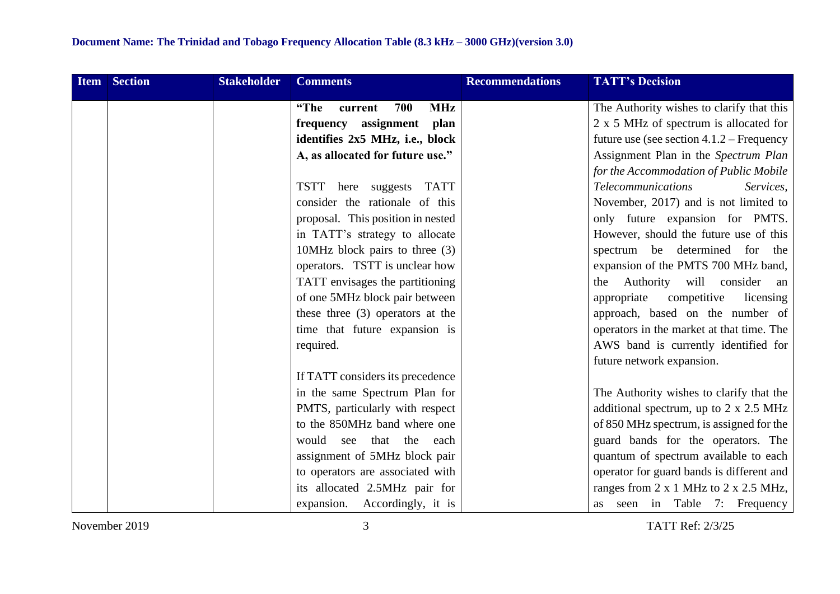| Item Section | <b>Stakeholder</b> | <b>Comments</b>                      | <b>Recommendations</b> | <b>TATT's Decision</b>                        |
|--------------|--------------------|--------------------------------------|------------------------|-----------------------------------------------|
|              |                    | <b>MHz</b><br>700<br>"The<br>current |                        | The Authority wishes to clarify that this     |
|              |                    | frequency assignment plan            |                        | 2 x 5 MHz of spectrum is allocated for        |
|              |                    | identifies 2x5 MHz, i.e., block      |                        | future use (see section $4.1.2$ – Frequency   |
|              |                    | A, as allocated for future use."     |                        | Assignment Plan in the Spectrum Plan          |
|              |                    |                                      |                        | for the Accommodation of Public Mobile        |
|              |                    | here suggests TATT<br>TSTT           |                        | <b>Telecommunications</b><br>Services,        |
|              |                    | consider the rationale of this       |                        | November, 2017) and is not limited to         |
|              |                    | proposal. This position in nested    |                        | only future expansion for PMTS.               |
|              |                    | in TATT's strategy to allocate       |                        | However, should the future use of this        |
|              |                    | 10MHz block pairs to three $(3)$     |                        | spectrum be determined for the                |
|              |                    | operators. TSTT is unclear how       |                        | expansion of the PMTS 700 MHz band,           |
|              |                    | TATT envisages the partitioning      |                        | Authority will consider<br>the<br>an          |
|              |                    | of one 5MHz block pair between       |                        | competitive<br>appropriate<br>licensing       |
|              |                    | these three $(3)$ operators at the   |                        | approach, based on the number of              |
|              |                    | time that future expansion is        |                        | operators in the market at that time. The     |
|              |                    | required.                            |                        | AWS band is currently identified for          |
|              |                    |                                      |                        | future network expansion.                     |
|              |                    | If TATT considers its precedence     |                        |                                               |
|              |                    | in the same Spectrum Plan for        |                        | The Authority wishes to clarify that the      |
|              |                    | PMTS, particularly with respect      |                        | additional spectrum, up to $2 \times 2.5$ MHz |
|              |                    | to the 850MHz band where one         |                        | of 850 MHz spectrum, is assigned for the      |
|              |                    | would<br>that<br>the<br>see<br>each  |                        | guard bands for the operators. The            |
|              |                    | assignment of 5MHz block pair        |                        | quantum of spectrum available to each         |
|              |                    | to operators are associated with     |                        | operator for guard bands is different and     |
|              |                    | its allocated 2.5MHz pair for        |                        | ranges from 2 x 1 MHz to 2 x 2.5 MHz,         |
|              |                    | expansion. Accordingly, it is        |                        | seen in Table 7: Frequency<br>as              |

November 2019 3 TATT Ref: 2/3/25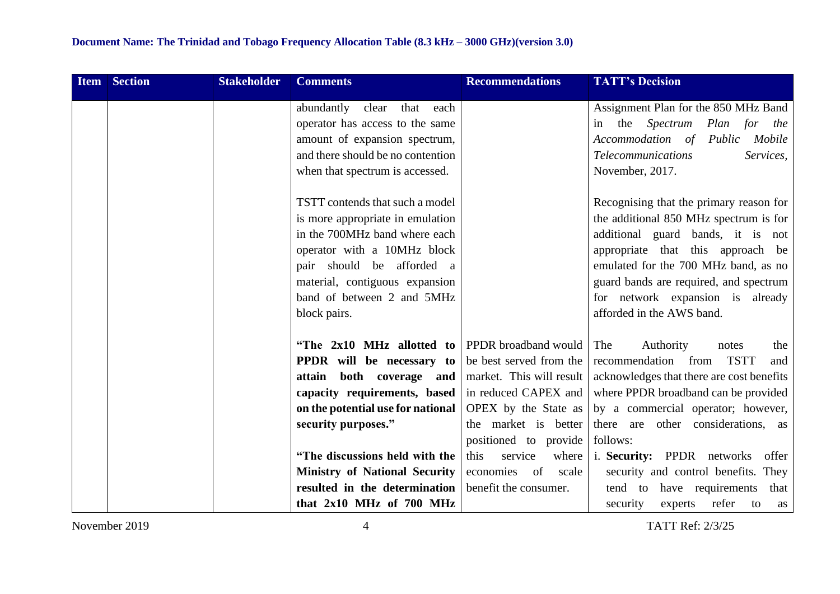| <b>Item Section</b> | <b>Stakeholder</b> | <b>Comments</b>                                  | <b>Recommendations</b>   | <b>TATT's Decision</b>                    |
|---------------------|--------------------|--------------------------------------------------|--------------------------|-------------------------------------------|
|                     |                    | abundantly<br>clear<br>that<br>each              |                          | Assignment Plan for the 850 MHz Band      |
|                     |                    | operator has access to the same                  |                          | the <i>Spectrum</i> Plan for the<br>in    |
|                     |                    | amount of expansion spectrum,                    |                          | Accommodation of Public<br>Mobile         |
|                     |                    | and there should be no contention                |                          | <b>Telecommunications</b><br>Services,    |
|                     |                    | when that spectrum is accessed.                  |                          | November, 2017.                           |
|                     |                    |                                                  |                          |                                           |
|                     |                    | TSTT contends that such a model                  |                          | Recognising that the primary reason for   |
|                     |                    | is more appropriate in emulation                 |                          | the additional 850 MHz spectrum is for    |
|                     |                    | in the 700MHz band where each                    |                          | additional guard bands, it is not         |
|                     |                    | operator with a 10MHz block                      |                          | appropriate that this approach be         |
|                     |                    | pair should be afforded a                        |                          | emulated for the 700 MHz band, as no      |
|                     |                    | material, contiguous expansion                   |                          | guard bands are required, and spectrum    |
|                     |                    | band of between 2 and 5MHz                       |                          | for network expansion is already          |
|                     |                    | block pairs.                                     |                          | afforded in the AWS band.                 |
|                     |                    | "The $2x10$ MHz allotted to PPDR broadband would |                          | The<br>Authority<br>the<br>notes          |
|                     |                    | PPDR will be necessary to                        | be best served from the  | <b>TSTT</b><br>recommendation from<br>and |
|                     |                    | attain both coverage and                         | market. This will result | acknowledges that there are cost benefits |
|                     |                    | capacity requirements, based                     | in reduced CAPEX and     | where PPDR broadband can be provided      |
|                     |                    | on the potential use for national                | OPEX by the State as     | by a commercial operator; however,        |
|                     |                    | security purposes."                              | the market is better     | there are other considerations, as        |
|                     |                    |                                                  | positioned to provide    | follows:                                  |
|                     |                    | "The discussions held with the                   | service<br>where<br>this | i. Security: PPDR networks<br>offer       |
|                     |                    | <b>Ministry of National Security</b>             | economies<br>of<br>scale | security and control benefits. They       |
|                     |                    | resulted in the determination                    | benefit the consumer.    | tend to have requirements<br>that         |
|                     |                    | that 2x10 MHz of 700 MHz                         |                          | experts<br>refer<br>security<br>to<br>as  |

November 2019 19<br>
19 TATT Ref: 2/3/25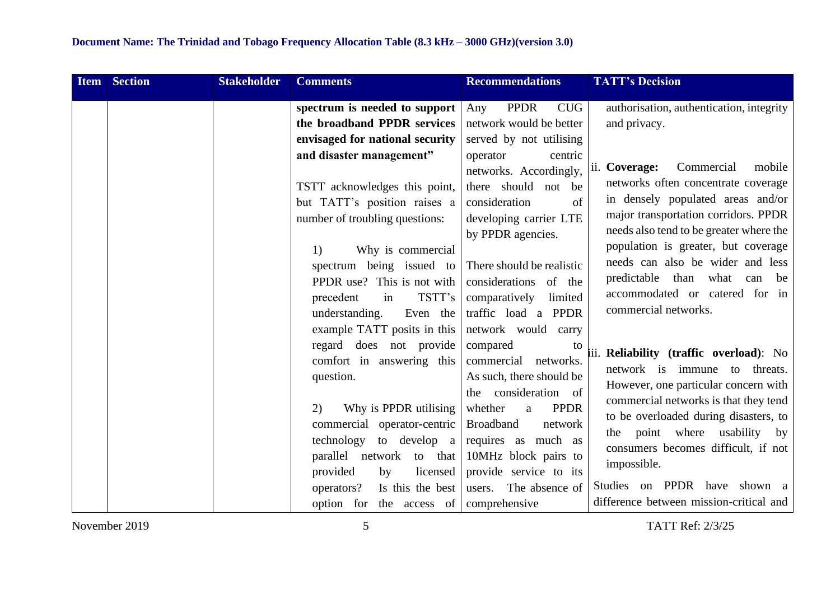| <b>Item</b> | <b>Section</b> | <b>Stakeholder</b> | <b>Comments</b>                                                                                                                                                                                                                               | <b>Recommendations</b>                                                                                                                                                                                                       | <b>TATT's Decision</b>                                                                                                                                                                                                                                                                                                                                  |
|-------------|----------------|--------------------|-----------------------------------------------------------------------------------------------------------------------------------------------------------------------------------------------------------------------------------------------|------------------------------------------------------------------------------------------------------------------------------------------------------------------------------------------------------------------------------|---------------------------------------------------------------------------------------------------------------------------------------------------------------------------------------------------------------------------------------------------------------------------------------------------------------------------------------------------------|
|             |                |                    | spectrum is needed to support                                                                                                                                                                                                                 | <b>PPDR</b><br><b>CUG</b><br>Any                                                                                                                                                                                             | authorisation, authentication, integrity                                                                                                                                                                                                                                                                                                                |
|             |                |                    | the broadband PPDR services<br>envisaged for national security                                                                                                                                                                                | network would be better<br>served by not utilising                                                                                                                                                                           | and privacy.                                                                                                                                                                                                                                                                                                                                            |
|             |                |                    | and disaster management"<br>TSTT acknowledges this point,<br>but TATT's position raises a<br>number of troubling questions:<br>Why is commercial<br>1)<br>spectrum being issued to<br>PPDR use? This is not with<br>TSTT's<br>precedent<br>in | centric<br>operator<br>networks. Accordingly,<br>there should not be<br>of<br>consideration<br>developing carrier LTE<br>by PPDR agencies.<br>There should be realistic<br>considerations of the<br>comparatively<br>limited | ii. Coverage:<br>Commercial<br>mobile<br>networks often concentrate coverage<br>in densely populated areas and/or<br>major transportation corridors. PPDR<br>needs also tend to be greater where the<br>population is greater, but coverage<br>needs can also be wider and less<br>predictable than what<br>be<br>can<br>accommodated or catered for in |
|             |                |                    | Even the<br>understanding.<br>example TATT posits in this<br>regard does not provide<br>comfort in answering this<br>question.<br>Why is PPDR utilising<br>2)<br>commercial operator-centric                                                  | traffic load a PPDR<br>network would<br>carry<br>compared<br>to<br>networks.<br>commercial<br>As such, there should be<br>consideration of<br>the<br><b>PPDR</b><br>whether<br>a<br><b>Broadband</b><br>network              | commercial networks.<br>iii. Reliability (traffic overload): No<br>network is immune to threats.<br>However, one particular concern with<br>commercial networks is that they tend<br>to be overloaded during disasters, to<br>the point where usability by                                                                                              |
|             |                |                    | technology<br>to develop a<br>parallel network to that<br>provided<br>by<br>licensed<br>Is this the best<br>operators?<br>option for the access of                                                                                            | requires as much as<br>10MHz block pairs to<br>provide service to its<br>users. The absence of<br>comprehensive                                                                                                              | consumers becomes difficult, if not<br>impossible.<br>Studies on PPDR have shown a<br>difference between mission-critical and                                                                                                                                                                                                                           |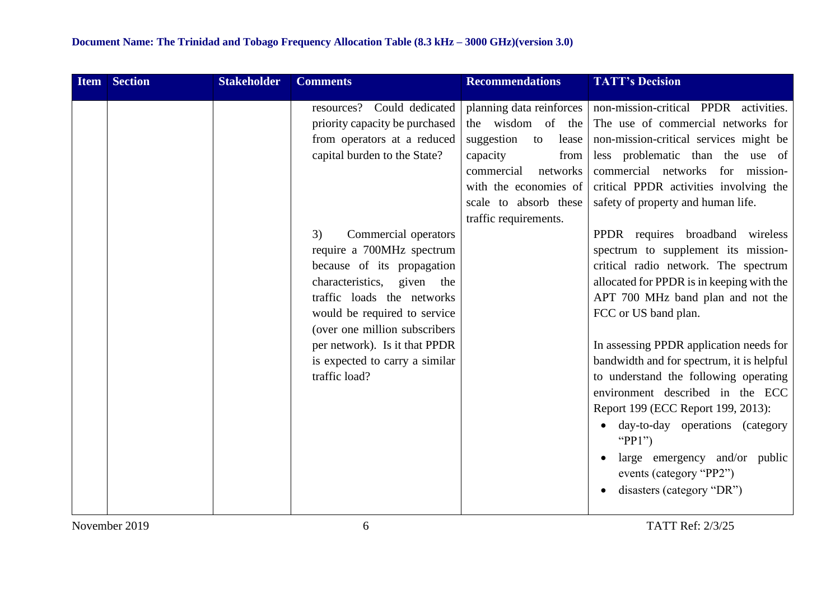| <b>Item</b> | <b>Section</b> | <b>Stakeholder</b> | <b>Comments</b>                                                                                                                                                                                                                                                                                                                                                                                                                       | <b>Recommendations</b>                                                                                                                                                                              | <b>TATT's Decision</b>                                                                                                                                                                                                                                                                                                                                                                                                                                                                                                                                                                                                                                                                                                                                                                                                                                        |
|-------------|----------------|--------------------|---------------------------------------------------------------------------------------------------------------------------------------------------------------------------------------------------------------------------------------------------------------------------------------------------------------------------------------------------------------------------------------------------------------------------------------|-----------------------------------------------------------------------------------------------------------------------------------------------------------------------------------------------------|---------------------------------------------------------------------------------------------------------------------------------------------------------------------------------------------------------------------------------------------------------------------------------------------------------------------------------------------------------------------------------------------------------------------------------------------------------------------------------------------------------------------------------------------------------------------------------------------------------------------------------------------------------------------------------------------------------------------------------------------------------------------------------------------------------------------------------------------------------------|
|             |                |                    | resources? Could dedicated<br>priority capacity be purchased<br>from operators at a reduced<br>capital burden to the State?<br>Commercial operators<br>3)<br>require a 700MHz spectrum<br>because of its propagation<br>characteristics, given the<br>traffic loads the networks<br>would be required to service<br>(over one million subscribers<br>per network). Is it that PPDR<br>is expected to carry a similar<br>traffic load? | planning data reinforces<br>the wisdom of the<br>suggestion<br>to<br>lease<br>capacity<br>from<br>commercial<br>networks<br>with the economies of<br>scale to absorb these<br>traffic requirements. | non-mission-critical PPDR activities.<br>The use of commercial networks for<br>non-mission-critical services might be<br>less problematic than the use of<br>commercial networks for mission-<br>critical PPDR activities involving the<br>safety of property and human life.<br>PPDR requires broadband wireless<br>spectrum to supplement its mission-<br>critical radio network. The spectrum<br>allocated for PPDR is in keeping with the<br>APT 700 MHz band plan and not the<br>FCC or US band plan.<br>In assessing PPDR application needs for<br>bandwidth and for spectrum, it is helpful<br>to understand the following operating<br>environment described in the ECC<br>Report 199 (ECC Report 199, 2013):<br>day-to-day operations (category<br>" $PP1"$<br>large emergency and/or public<br>events (category "PP2")<br>disasters (category "DR") |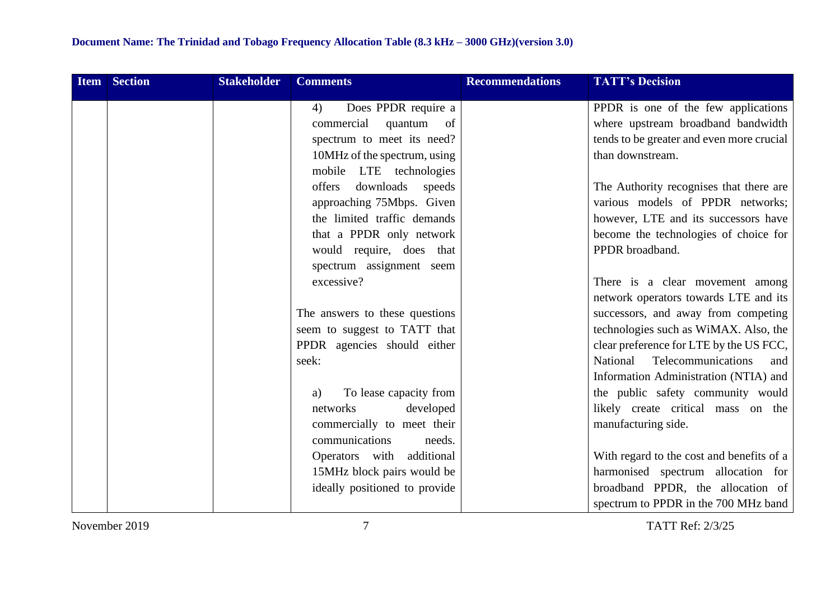| <b>Item Section</b> | <b>Stakeholder</b> | <b>Comments</b>                | <b>Recommendations</b> | <b>TATT's Decision</b>                    |
|---------------------|--------------------|--------------------------------|------------------------|-------------------------------------------|
|                     |                    | Does PPDR require a<br>4)      |                        | PPDR is one of the few applications       |
|                     |                    | commercial<br>quantum of       |                        | where upstream broadband bandwidth        |
|                     |                    | spectrum to meet its need?     |                        | tends to be greater and even more crucial |
|                     |                    | 10MHz of the spectrum, using   |                        | than downstream.                          |
|                     |                    | mobile LTE technologies        |                        |                                           |
|                     |                    | offers<br>downloads<br>speeds  |                        | The Authority recognises that there are   |
|                     |                    | approaching 75Mbps. Given      |                        | various models of PPDR networks;          |
|                     |                    | the limited traffic demands    |                        | however, LTE and its successors have      |
|                     |                    | that a PPDR only network       |                        | become the technologies of choice for     |
|                     |                    | would require, does that       |                        | PPDR broadband.                           |
|                     |                    | spectrum assignment seem       |                        |                                           |
|                     |                    | excessive?                     |                        | There is a clear movement among           |
|                     |                    |                                |                        | network operators towards LTE and its     |
|                     |                    | The answers to these questions |                        | successors, and away from competing       |
|                     |                    | seem to suggest to TATT that   |                        | technologies such as WiMAX. Also, the     |
|                     |                    | PPDR agencies should either    |                        | clear preference for LTE by the US FCC,   |
|                     |                    | seek:                          |                        | National<br>Telecommunications<br>and     |
|                     |                    |                                |                        | Information Administration (NTIA) and     |
|                     |                    | To lease capacity from<br>a)   |                        | the public safety community would         |
|                     |                    | developed<br>networks          |                        | likely create critical mass on the        |
|                     |                    | commercially to meet their     |                        | manufacturing side.                       |
|                     |                    | communications<br>needs.       |                        |                                           |
|                     |                    | Operators with additional      |                        | With regard to the cost and benefits of a |
|                     |                    | 15MHz block pairs would be     |                        | harmonised spectrum allocation for        |
|                     |                    | ideally positioned to provide  |                        | broadband PPDR, the allocation of         |
|                     |                    |                                |                        | spectrum to PPDR in the 700 MHz band      |

November 2019 7 TATT Ref: 2/3/25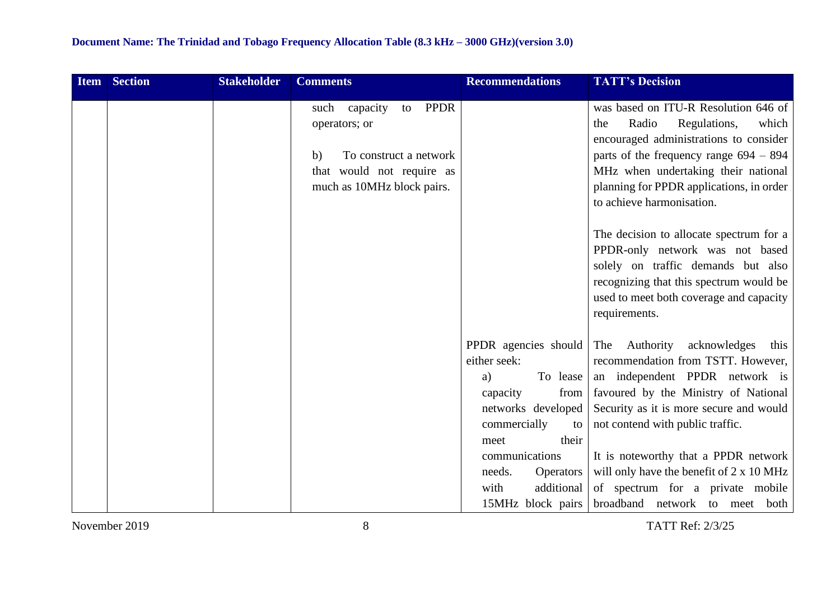| <b>Item</b> | <b>Section</b> | <b>Stakeholder</b> | <b>Comments</b>                                                                                                                                   | <b>Recommendations</b>                                                                                                                                                                                        | <b>TATT's Decision</b>                                                                                                                                                                                                                                                                                                                                                                                          |
|-------------|----------------|--------------------|---------------------------------------------------------------------------------------------------------------------------------------------------|---------------------------------------------------------------------------------------------------------------------------------------------------------------------------------------------------------------|-----------------------------------------------------------------------------------------------------------------------------------------------------------------------------------------------------------------------------------------------------------------------------------------------------------------------------------------------------------------------------------------------------------------|
|             |                |                    | <b>PPDR</b><br>capacity<br>such<br>to<br>operators; or<br>To construct a network<br>b)<br>that would not require as<br>much as 10MHz block pairs. |                                                                                                                                                                                                               | was based on ITU-R Resolution 646 of<br>Radio<br>Regulations,<br>which<br>the<br>encouraged administrations to consider<br>parts of the frequency range $694 - 894$<br>MHz when undertaking their national<br>planning for PPDR applications, in order<br>to achieve harmonisation.                                                                                                                             |
|             |                |                    |                                                                                                                                                   |                                                                                                                                                                                                               | The decision to allocate spectrum for a<br>PPDR-only network was not based<br>solely on traffic demands but also<br>recognizing that this spectrum would be<br>used to meet both coverage and capacity<br>requirements.                                                                                                                                                                                         |
|             |                |                    |                                                                                                                                                   | PPDR agencies should<br>either seek:<br>To lease<br>a)<br>from<br>capacity<br>networks developed<br>commercially<br>to<br>their<br>meet<br>communications<br>needs.<br><b>Operators</b><br>additional<br>with | The Authority acknowledges<br>this<br>recommendation from TSTT. However,<br>an independent PPDR network is<br>favoured by the Ministry of National<br>Security as it is more secure and would<br>not contend with public traffic.<br>It is noteworthy that a PPDR network<br>will only have the benefit of 2 x 10 MHz<br>of spectrum for a private mobile<br>15MHz block pairs   broadband network to meet both |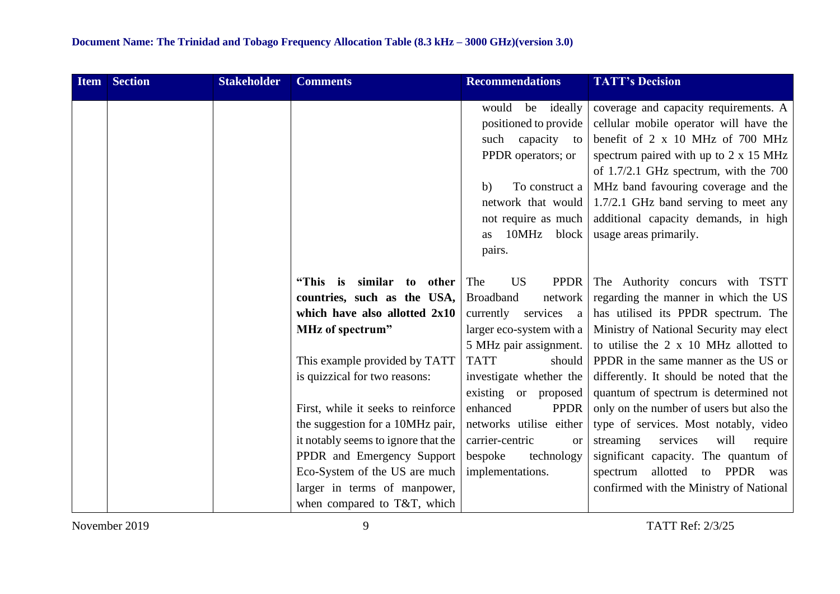| Item | <b>Section</b> | <b>Stakeholder</b> | <b>Comments</b>                                                                                                                                                                                                                             | <b>Recommendations</b>                                                                                                                                                         | <b>TATT's Decision</b>                                                                                                                                                                                                                                                                                                                                                            |
|------|----------------|--------------------|---------------------------------------------------------------------------------------------------------------------------------------------------------------------------------------------------------------------------------------------|--------------------------------------------------------------------------------------------------------------------------------------------------------------------------------|-----------------------------------------------------------------------------------------------------------------------------------------------------------------------------------------------------------------------------------------------------------------------------------------------------------------------------------------------------------------------------------|
|      |                |                    |                                                                                                                                                                                                                                             | be ideally<br>would<br>positioned to provide<br>capacity to<br>such<br>PPDR operators; or<br>To construct a<br>b)<br>not require as much<br>10MHz block<br><b>as</b><br>pairs. | coverage and capacity requirements. A<br>cellular mobile operator will have the<br>benefit of 2 x 10 MHz of 700 MHz<br>spectrum paired with up to 2 x 15 MHz<br>of 1.7/2.1 GHz spectrum, with the 700<br>MHz band favouring coverage and the<br>network that would $\vert$ 1.7/2.1 GHz band serving to meet any<br>additional capacity demands, in high<br>usage areas primarily. |
|      |                |                    | similar to other<br>"This is<br>countries, such as the USA,<br>which have also allotted 2x10<br>MHz of spectrum"<br>This example provided by TATT<br>is quizzical for two reasons:                                                          | <b>US</b><br><b>PPDR</b><br>The<br><b>Broadband</b><br>network<br>currently<br>services a<br>5 MHz pair assignment.<br><b>TATT</b><br>should<br>investigate whether the        | The Authority concurs with TSTT<br>regarding the manner in which the US<br>has utilised its PPDR spectrum. The<br>larger eco-system with a   Ministry of National Security may elect<br>to utilise the $2 \times 10$ MHz allotted to<br>PPDR in the same manner as the US or<br>differently. It should be noted that the                                                          |
|      |                |                    | First, while it seeks to reinforce<br>the suggestion for a 10MHz pair,<br>it notably seems to ignore that the<br>PPDR and Emergency Support<br>Eco-System of the US are much<br>larger in terms of manpower,<br>when compared to T&T, which | existing or proposed<br>enhanced<br><b>PPDR</b><br>networks utilise either<br>carrier-centric<br><sub>or</sub><br>technology<br>bespoke<br>implementations.                    | quantum of spectrum is determined not<br>only on the number of users but also the<br>type of services. Most notably, video<br>services<br>will<br>streaming<br>require<br>significant capacity. The quantum of<br>allotted<br>PPDR<br>to<br>spectrum<br>was<br>confirmed with the Ministry of National                                                                            |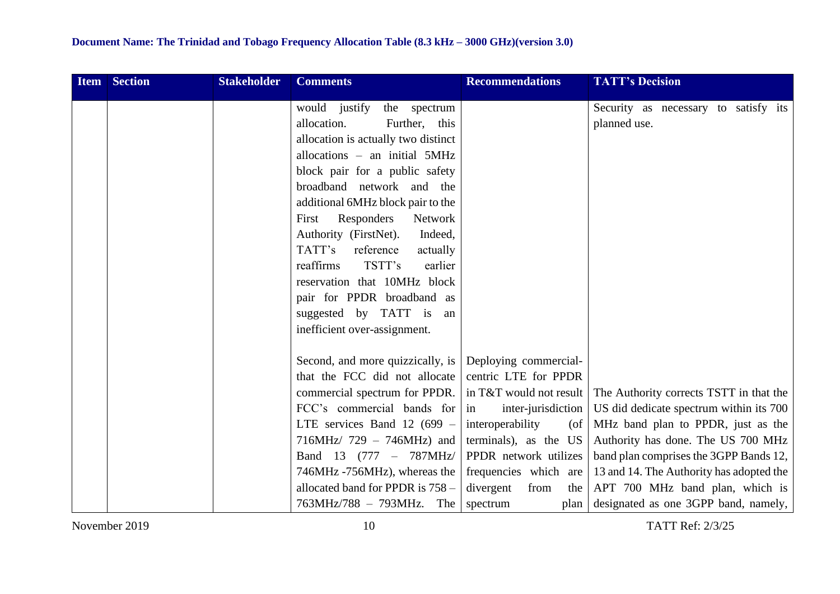| <b>Item</b> | <b>Section</b> | <b>Stakeholder</b> | <b>Comments</b>                                                                                                                                                                                                                                                                                                                                     | <b>Recommendations</b>                                                                                                                                                                                                    | <b>TATT's Decision</b>                                                                                                                                                                                                                                                                                                               |
|-------------|----------------|--------------------|-----------------------------------------------------------------------------------------------------------------------------------------------------------------------------------------------------------------------------------------------------------------------------------------------------------------------------------------------------|---------------------------------------------------------------------------------------------------------------------------------------------------------------------------------------------------------------------------|--------------------------------------------------------------------------------------------------------------------------------------------------------------------------------------------------------------------------------------------------------------------------------------------------------------------------------------|
|             |                |                    | would justify<br>the spectrum<br>allocation.<br>Further, this<br>allocation is actually two distinct<br>allocations - an initial 5MHz<br>block pair for a public safety<br>broadband network and the                                                                                                                                                |                                                                                                                                                                                                                           | Security as necessary to satisfy its<br>planned use.                                                                                                                                                                                                                                                                                 |
|             |                |                    | additional 6MHz block pair to the<br>Responders<br>Network<br>First<br>Authority (FirstNet).<br>Indeed,<br>TATT's<br>reference<br>actually<br>TSTT's<br>reaffirms<br>earlier<br>reservation that 10MHz block<br>pair for PPDR broadband as<br>suggested by TATT is an<br>inefficient over-assignment.                                               |                                                                                                                                                                                                                           |                                                                                                                                                                                                                                                                                                                                      |
|             |                |                    | Second, and more quizzically, is Deploying commercial-<br>that the FCC did not allocate<br>commercial spectrum for PPDR.<br>FCC's commercial bands for<br>LTE services Band 12 (699 $-$<br>$716MHz/ 729 - 746MHz)$ and<br>Band 13 (777 - 787MHz/<br>746MHz -756MHz), whereas the<br>allocated band for PPDR is 758 -<br>$763MHz/788 - 793MHz$ . The | centric LTE for PPDR<br>in T&T would not result<br>inter-jurisdiction<br>in<br>interoperability<br>(of<br>terminals), as the US<br>PPDR network utilizes<br>frequencies which are<br>divergent<br>from<br>the<br>spectrum | The Authority corrects TSTT in that the<br>US did dedicate spectrum within its 700<br>MHz band plan to PPDR, just as the<br>Authority has done. The US 700 MHz<br>band plan comprises the 3GPP Bands 12,<br>13 and 14. The Authority has adopted the<br>APT 700 MHz band plan, which is<br>plan designated as one 3GPP band, namely, |

November 2019 10 TATT Ref: 2/3/25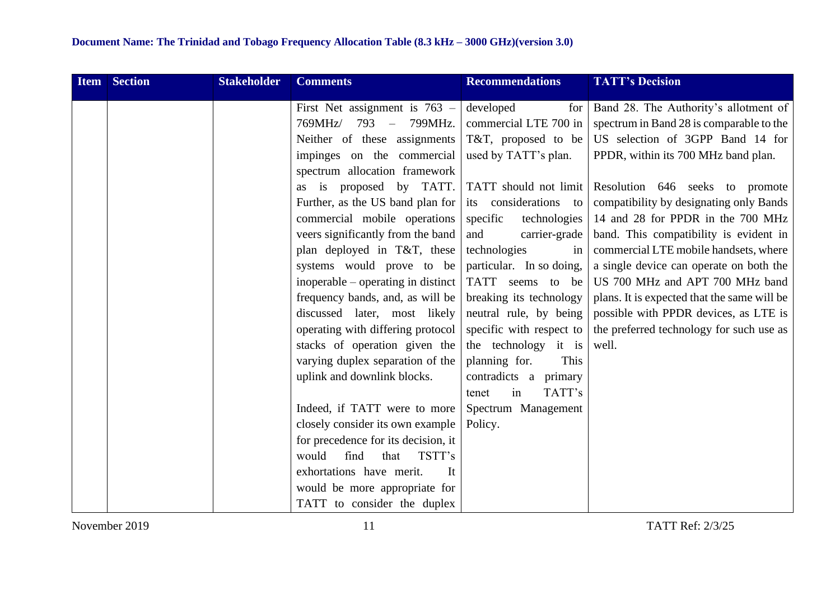| <b>Item</b> | <b>Section</b> | <b>Stakeholder</b> | <b>Comments</b>                         | <b>Recommendations</b>   | <b>TATT's Decision</b>                      |
|-------------|----------------|--------------------|-----------------------------------------|--------------------------|---------------------------------------------|
|             |                |                    | First Net assignment is $763 -$         | developed<br>for         | Band 28. The Authority's allotment of       |
|             |                |                    | 769MHz/<br>793<br>799MHz.<br>$\sim$ $-$ | commercial LTE 700 in    | spectrum in Band 28 is comparable to the    |
|             |                |                    | Neither of these assignments            | T&T, proposed to be      | US selection of 3GPP Band 14 for            |
|             |                |                    | impinges on the commercial              | used by TATT's plan.     | PPDR, within its 700 MHz band plan.         |
|             |                |                    | spectrum allocation framework           |                          |                                             |
|             |                |                    | as is proposed by TATT.                 | TATT should not limit    | Resolution 646 seeks to promote             |
|             |                |                    | Further, as the US band plan for        | its considerations to    | compatibility by designating only Bands     |
|             |                |                    | commercial mobile operations            | specific<br>technologies | 14 and 28 for PPDR in the 700 MHz           |
|             |                |                    | veers significantly from the band       | and<br>carrier-grade     | band. This compatibility is evident in      |
|             |                |                    | plan deployed in T&T, these             | technologies<br>in       | commercial LTE mobile handsets, where       |
|             |                |                    | systems would prove to be               | particular. In so doing, | a single device can operate on both the     |
|             |                |                    | inoperable – operating in distinct      | TATT seems to be         | US 700 MHz and APT 700 MHz band             |
|             |                |                    | frequency bands, and, as will be        | breaking its technology  | plans. It is expected that the same will be |
|             |                |                    | discussed later, most likely            | neutral rule, by being   | possible with PPDR devices, as LTE is       |
|             |                |                    | operating with differing protocol       | specific with respect to | the preferred technology for such use as    |
|             |                |                    | stacks of operation given the           | the technology it is     | well.                                       |
|             |                |                    | varying duplex separation of the        | planning for.<br>This    |                                             |
|             |                |                    | uplink and downlink blocks.             | contradicts a primary    |                                             |
|             |                |                    |                                         | TATT's<br>tenet<br>in    |                                             |
|             |                |                    | Indeed, if TATT were to more            | Spectrum Management      |                                             |
|             |                |                    | closely consider its own example        | Policy.                  |                                             |
|             |                |                    | for precedence for its decision, it     |                          |                                             |
|             |                |                    | would<br>find<br>that<br>TSTT's         |                          |                                             |
|             |                |                    | exhortations have merit.<br>It          |                          |                                             |
|             |                |                    | would be more appropriate for           |                          |                                             |
|             |                |                    | TATT to consider the duplex             |                          |                                             |

November 2019 11 TATT Ref: 2/3/25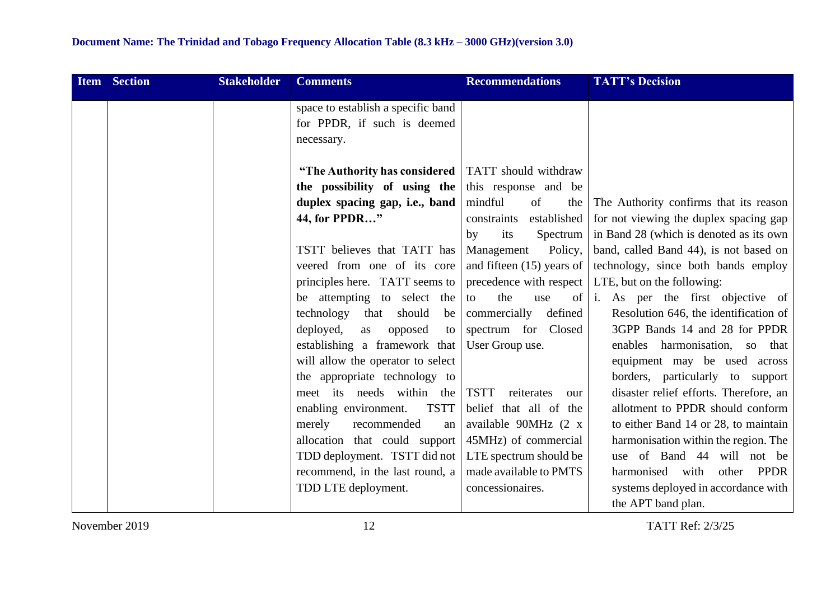| <b>Item Section</b> | <b>Stakeholder</b> | <b>Comments</b>                      | <b>Recommendations</b>           | <b>TATT's Decision</b>                  |
|---------------------|--------------------|--------------------------------------|----------------------------------|-----------------------------------------|
|                     |                    | space to establish a specific band   |                                  |                                         |
|                     |                    | for PPDR, if such is deemed          |                                  |                                         |
|                     |                    | necessary.                           |                                  |                                         |
|                     |                    |                                      |                                  |                                         |
|                     |                    | "The Authority has considered        | TATT should withdraw             |                                         |
|                     |                    | the possibility of using the         | this response and be             |                                         |
|                     |                    | duplex spacing gap, i.e., band       | mindful<br>of<br>the             | The Authority confirms that its reason  |
|                     |                    | 44, for PPDR"                        | established<br>constraints       | for not viewing the duplex spacing gap  |
|                     |                    |                                      | its<br>Spectrum<br>by            | in Band 28 (which is denoted as its own |
|                     |                    | TSTT believes that TATT has          | Management<br>Policy,            | band, called Band 44), is not based on  |
|                     |                    | veered from one of its core          | and fifteen $(15)$ years of      | technology, since both bands employ     |
|                     |                    | principles here. TATT seems to       | precedence with respect          | LTE, but on the following:              |
|                     |                    | be attempting to select the          | the<br>of<br>use<br>to           | i. As per the first objective of        |
|                     |                    | technology<br>should<br>that<br>be   | commercially defined             | Resolution 646, the identification of   |
|                     |                    | deployed,<br>opposed<br>as<br>to     | spectrum for Closed              | 3GPP Bands 14 and 28 for PPDR           |
|                     |                    | establishing a framework that        | User Group use.                  | enables harmonisation, so<br>that       |
|                     |                    | will allow the operator to select    |                                  | equipment may be used across            |
|                     |                    | the appropriate technology to        |                                  | borders, particularly to support        |
|                     |                    | meet its needs within the            | <b>TSTT</b><br>reiterates<br>our | disaster relief efforts. Therefore, an  |
|                     |                    | <b>TSTT</b><br>enabling environment. | belief that all of the           | allotment to PPDR should conform        |
|                     |                    | recommended<br>merely<br>an          | available 90MHz (2 x             | to either Band 14 or 28, to maintain    |
|                     |                    | allocation that could support        | 45MHz) of commercial             | harmonisation within the region. The    |
|                     |                    | TDD deployment. TSTT did not         | LTE spectrum should be           | use of Band 44 will not be              |
|                     |                    | recommend, in the last round, a      | made available to PMTS           | PPDR<br>harmonised with<br>other        |
|                     |                    | TDD LTE deployment.                  | concessionaires.                 | systems deployed in accordance with     |
|                     |                    |                                      |                                  | the APT band plan.                      |

November 2019 12 TATT Ref: 2/3/25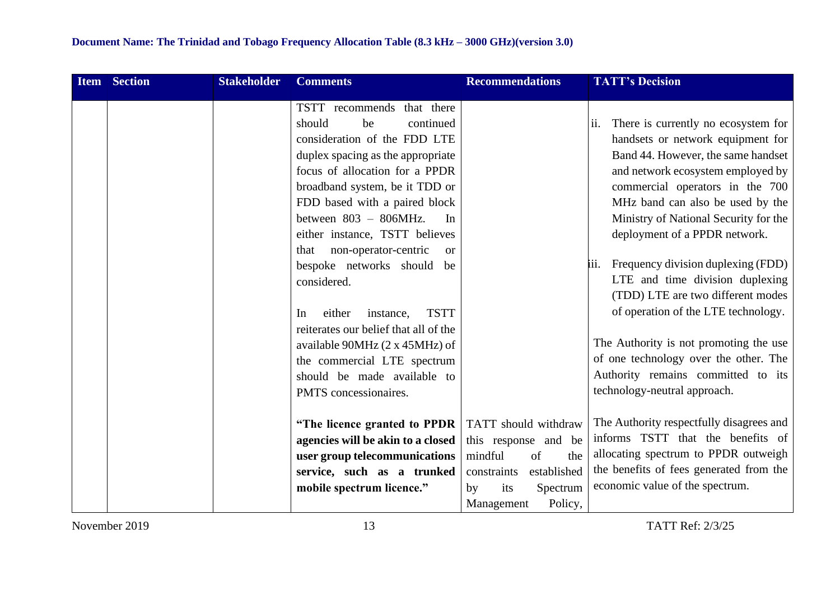| <b>Item</b> | <b>Section</b> | <b>Stakeholder</b> | <b>Comments</b>                               | <b>Recommendations</b>     | <b>TATT's Decision</b>                     |
|-------------|----------------|--------------------|-----------------------------------------------|----------------------------|--------------------------------------------|
|             |                |                    | TSTT recommends that there                    |                            |                                            |
|             |                |                    | be<br>continued<br>should                     |                            | There is currently no ecosystem for<br>ii. |
|             |                |                    | consideration of the FDD LTE                  |                            | handsets or network equipment for          |
|             |                |                    | duplex spacing as the appropriate             |                            | Band 44. However, the same handset         |
|             |                |                    | focus of allocation for a PPDR                |                            | and network ecosystem employed by          |
|             |                |                    | broadband system, be it TDD or                |                            | commercial operators in the 700            |
|             |                |                    | FDD based with a paired block                 |                            | MHz band can also be used by the           |
|             |                |                    | between $803 - 806 MHz$ .<br>In               |                            | Ministry of National Security for the      |
|             |                |                    | either instance, TSTT believes                |                            | deployment of a PPDR network.              |
|             |                |                    | non-operator-centric<br>that<br><sub>or</sub> |                            |                                            |
|             |                |                    | bespoke networks should be                    |                            | Frequency division duplexing (FDD)<br>111. |
|             |                |                    | considered.                                   |                            | LTE and time division duplexing            |
|             |                |                    |                                               |                            | (TDD) LTE are two different modes          |
|             |                |                    | <b>TSTT</b><br>either<br>instance,<br>In      |                            | of operation of the LTE technology.        |
|             |                |                    | reiterates our belief that all of the         |                            |                                            |
|             |                |                    | available 90MHz (2 x 45MHz) of                |                            | The Authority is not promoting the use     |
|             |                |                    | the commercial LTE spectrum                   |                            | of one technology over the other. The      |
|             |                |                    | should be made available to                   |                            | Authority remains committed to its         |
|             |                |                    | PMTS concessionaires.                         |                            | technology-neutral approach.               |
|             |                |                    |                                               |                            |                                            |
|             |                |                    | "The licence granted to PPDR                  | TATT should withdraw       | The Authority respectfully disagrees and   |
|             |                |                    | agencies will be akin to a closed             | this response and be       | informs TSTT that the benefits of          |
|             |                |                    | user group telecommunications                 | mindful<br>of<br>the       | allocating spectrum to PPDR outweigh       |
|             |                |                    | service, such as a trunked                    | established<br>constraints | the benefits of fees generated from the    |
|             |                |                    | mobile spectrum licence."                     | Spectrum<br>its<br>by      | economic value of the spectrum.            |
|             |                |                    |                                               | Policy,<br>Management      |                                            |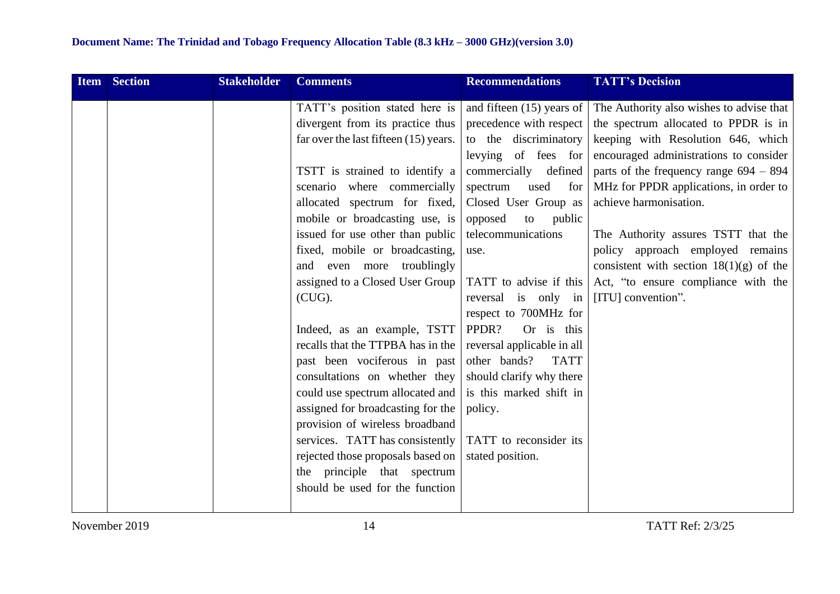| <b>Item</b> | <b>Section</b> | <b>Stakeholder</b> | <b>Comments</b>                       | <b>Recommendations</b>      | <b>TATT's Decision</b>                    |
|-------------|----------------|--------------------|---------------------------------------|-----------------------------|-------------------------------------------|
|             |                |                    | TATT's position stated here is        | and fifteen $(15)$ years of | The Authority also wishes to advise that  |
|             |                |                    | divergent from its practice thus      | precedence with respect     | the spectrum allocated to PPDR is in      |
|             |                |                    | far over the last fifteen (15) years. | to the discriminatory       | keeping with Resolution 646, which        |
|             |                |                    |                                       | levying of fees for         | encouraged administrations to consider    |
|             |                |                    | TSTT is strained to identify a        | commercially defined        | parts of the frequency range $694 - 894$  |
|             |                |                    | scenario where commercially           | used<br>spectrum<br>for     | MHz for PPDR applications, in order to    |
|             |                |                    | allocated spectrum for fixed,         | Closed User Group as        | achieve harmonisation.                    |
|             |                |                    | mobile or broadcasting use, is        | opposed<br>to<br>public     |                                           |
|             |                |                    | issued for use other than public      | telecommunications          | The Authority assures TSTT that the       |
|             |                |                    | fixed, mobile or broadcasting,        | use.                        | policy approach employed remains          |
|             |                |                    | and even more troublingly             |                             | consistent with section $18(1)(g)$ of the |
|             |                |                    | assigned to a Closed User Group       | TATT to advise if this      | Act, "to ensure compliance with the       |
|             |                |                    | $(CUG)$ .                             | reversal is only in         | [ITU] convention".                        |
|             |                |                    |                                       | respect to 700MHz for       |                                           |
|             |                |                    | Indeed, as an example, TSTT           | PPDR?<br>Or is this         |                                           |
|             |                |                    | recalls that the TTPBA has in the     | reversal applicable in all  |                                           |
|             |                |                    | past been vociferous in past          | other bands?<br><b>TATT</b> |                                           |
|             |                |                    | consultations on whether they         | should clarify why there    |                                           |
|             |                |                    | could use spectrum allocated and      | is this marked shift in     |                                           |
|             |                |                    | assigned for broadcasting for the     | policy.                     |                                           |
|             |                |                    | provision of wireless broadband       |                             |                                           |
|             |                |                    | services. TATT has consistently       | TATT to reconsider its      |                                           |
|             |                |                    | rejected those proposals based on     | stated position.            |                                           |
|             |                |                    | the principle that spectrum           |                             |                                           |
|             |                |                    | should be used for the function       |                             |                                           |
|             |                |                    |                                       |                             |                                           |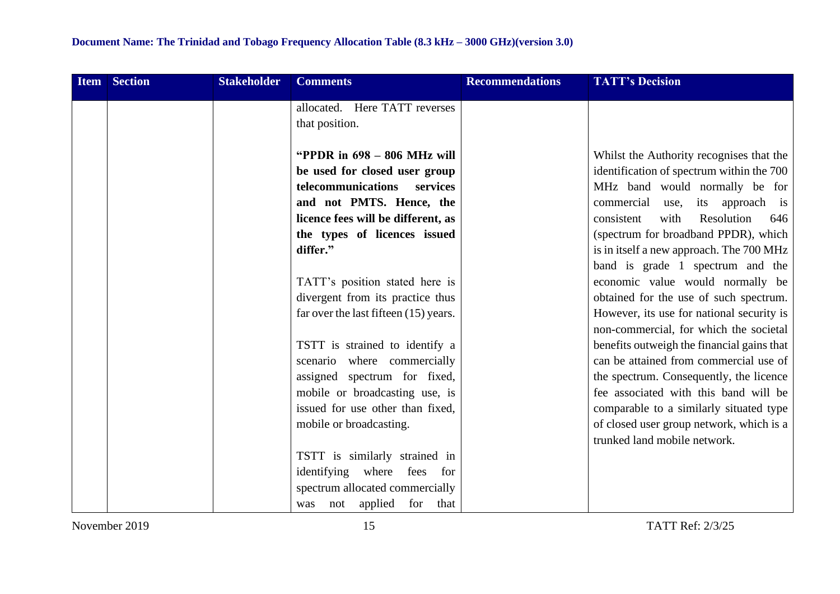| <b>Item</b> | <b>Section</b> | <b>Stakeholder</b> | <b>Comments</b>                                                                                                                                                                                 | <b>Recommendations</b> | <b>TATT's Decision</b>                                                                                                                                                                                                                        |
|-------------|----------------|--------------------|-------------------------------------------------------------------------------------------------------------------------------------------------------------------------------------------------|------------------------|-----------------------------------------------------------------------------------------------------------------------------------------------------------------------------------------------------------------------------------------------|
|             |                |                    | allocated. Here TATT reverses                                                                                                                                                                   |                        |                                                                                                                                                                                                                                               |
|             |                |                    | that position.                                                                                                                                                                                  |                        |                                                                                                                                                                                                                                               |
|             |                |                    | "PPDR in $698 - 806$ MHz will<br>be used for closed user group<br>telecommunications services<br>and not PMTS. Hence, the<br>licence fees will be different, as<br>the types of licences issued |                        | Whilst the Authority recognises that the<br>identification of spectrum within the 700<br>MHz band would normally be for<br>commercial use, its approach is<br>consistent<br>with<br>Resolution<br>646<br>(spectrum for broadband PPDR), which |
|             |                |                    | differ."                                                                                                                                                                                        |                        | is in itself a new approach. The 700 MHz                                                                                                                                                                                                      |
|             |                |                    |                                                                                                                                                                                                 |                        | band is grade 1 spectrum and the                                                                                                                                                                                                              |
|             |                |                    | TATT's position stated here is                                                                                                                                                                  |                        | economic value would normally be                                                                                                                                                                                                              |
|             |                |                    | divergent from its practice thus                                                                                                                                                                |                        | obtained for the use of such spectrum.                                                                                                                                                                                                        |
|             |                |                    | far over the last fifteen (15) years.                                                                                                                                                           |                        | However, its use for national security is<br>non-commercial, for which the societal                                                                                                                                                           |
|             |                |                    | TSTT is strained to identify a                                                                                                                                                                  |                        | benefits outweigh the financial gains that                                                                                                                                                                                                    |
|             |                |                    | scenario where commercially                                                                                                                                                                     |                        | can be attained from commercial use of                                                                                                                                                                                                        |
|             |                |                    | assigned spectrum for fixed,                                                                                                                                                                    |                        | the spectrum. Consequently, the licence                                                                                                                                                                                                       |
|             |                |                    | mobile or broadcasting use, is                                                                                                                                                                  |                        | fee associated with this band will be                                                                                                                                                                                                         |
|             |                |                    | issued for use other than fixed,                                                                                                                                                                |                        | comparable to a similarly situated type                                                                                                                                                                                                       |
|             |                |                    | mobile or broadcasting.                                                                                                                                                                         |                        | of closed user group network, which is a                                                                                                                                                                                                      |
|             |                |                    |                                                                                                                                                                                                 |                        | trunked land mobile network.                                                                                                                                                                                                                  |
|             |                |                    | TSTT is similarly strained in                                                                                                                                                                   |                        |                                                                                                                                                                                                                                               |
|             |                |                    | identifying where<br>fees for                                                                                                                                                                   |                        |                                                                                                                                                                                                                                               |
|             |                |                    | spectrum allocated commercially                                                                                                                                                                 |                        |                                                                                                                                                                                                                                               |
|             |                |                    | not applied for that<br>was                                                                                                                                                                     |                        |                                                                                                                                                                                                                                               |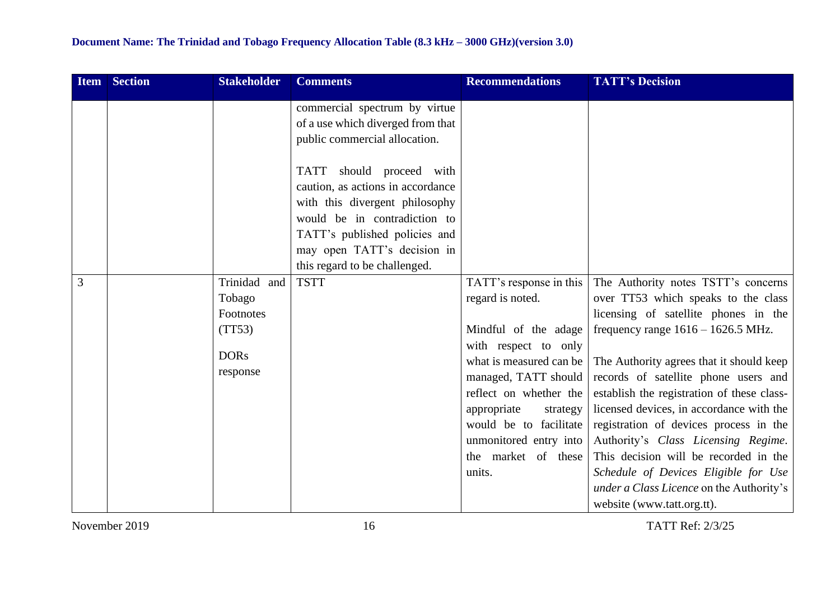| <b>Item</b> | <b>Section</b> | <b>Stakeholder</b>                                                       | <b>Comments</b>                                                                                                                                                                                                                                                                                        | <b>Recommendations</b>                                                                                                                                                                                                                                                                   | <b>TATT's Decision</b>                                                                                                                                                                                                                                                                                                                                                                                                                                                                                                                                                               |
|-------------|----------------|--------------------------------------------------------------------------|--------------------------------------------------------------------------------------------------------------------------------------------------------------------------------------------------------------------------------------------------------------------------------------------------------|------------------------------------------------------------------------------------------------------------------------------------------------------------------------------------------------------------------------------------------------------------------------------------------|--------------------------------------------------------------------------------------------------------------------------------------------------------------------------------------------------------------------------------------------------------------------------------------------------------------------------------------------------------------------------------------------------------------------------------------------------------------------------------------------------------------------------------------------------------------------------------------|
|             |                |                                                                          | commercial spectrum by virtue<br>of a use which diverged from that<br>public commercial allocation.<br>TATT should proceed with<br>caution, as actions in accordance<br>with this divergent philosophy<br>would be in contradiction to<br>TATT's published policies and<br>may open TATT's decision in |                                                                                                                                                                                                                                                                                          |                                                                                                                                                                                                                                                                                                                                                                                                                                                                                                                                                                                      |
| 3           |                | Trinidad and<br>Tobago<br>Footnotes<br>(TT53)<br><b>DORs</b><br>response | this regard to be challenged.<br><b>TSTT</b>                                                                                                                                                                                                                                                           | TATT's response in this<br>regard is noted.<br>Mindful of the adage<br>with respect to only<br>what is measured can be<br>managed, TATT should<br>reflect on whether the<br>appropriate<br>strategy<br>would be to facilitate<br>unmonitored entry into<br>the market of these<br>units. | The Authority notes TSTT's concerns<br>over TT53 which speaks to the class<br>licensing of satellite phones in the<br>frequency range $1616 - 1626.5$ MHz.<br>The Authority agrees that it should keep<br>records of satellite phone users and<br>establish the registration of these class-<br>licensed devices, in accordance with the<br>registration of devices process in the<br>Authority's Class Licensing Regime.<br>This decision will be recorded in the<br>Schedule of Devices Eligible for Use<br>under a Class Licence on the Authority's<br>website (www.tatt.org.tt). |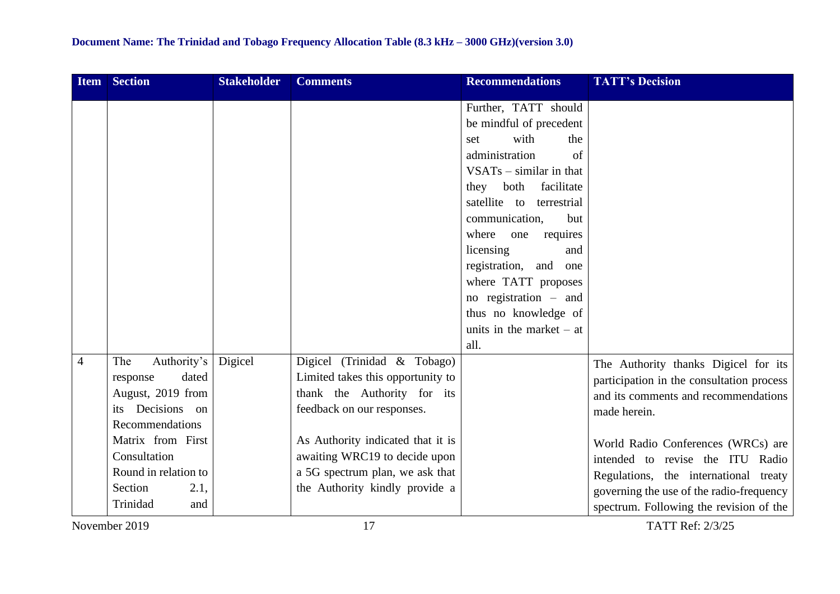|                                                                                                                                                                                                                                                     |         |                                                                                                                                                                                                                                                                                | Further, TATT should<br>be mindful of precedent<br>with<br>the<br>set<br>administration<br>of<br>$VSATs - similar in that$<br>facilitate<br>they both<br>satellite to terrestrial<br>communication,<br>but<br>where<br>requires<br>one<br>licensing<br>and<br>registration, and<br>one<br>where TATT proposes<br>no registration – and<br>thus no knowledge of<br>units in the market $-$ at<br>all. |                                                                                                                                                                                                                                                                                                                                                                         |
|-----------------------------------------------------------------------------------------------------------------------------------------------------------------------------------------------------------------------------------------------------|---------|--------------------------------------------------------------------------------------------------------------------------------------------------------------------------------------------------------------------------------------------------------------------------------|------------------------------------------------------------------------------------------------------------------------------------------------------------------------------------------------------------------------------------------------------------------------------------------------------------------------------------------------------------------------------------------------------|-------------------------------------------------------------------------------------------------------------------------------------------------------------------------------------------------------------------------------------------------------------------------------------------------------------------------------------------------------------------------|
| Authority's<br>The<br>$\overline{4}$<br>dated<br>response<br>August, 2019 from<br>Decisions on<br><i>its</i><br>Recommendations<br>Matrix from First<br>Consultation<br>Round in relation to<br>Section<br>2.1,<br>Trinidad<br>and<br>November 2019 | Digicel | Digicel (Trinidad & Tobago)<br>Limited takes this opportunity to<br>thank the Authority for its<br>feedback on our responses.<br>As Authority indicated that it is<br>awaiting WRC19 to decide upon<br>a 5G spectrum plan, we ask that<br>the Authority kindly provide a<br>17 |                                                                                                                                                                                                                                                                                                                                                                                                      | The Authority thanks Digicel for its<br>participation in the consultation process<br>and its comments and recommendations<br>made herein.<br>World Radio Conferences (WRCs) are<br>intended to revise the ITU Radio<br>Regulations, the international treaty<br>governing the use of the radio-frequency<br>spectrum. Following the revision of the<br>TATT Ref: 2/3/25 |